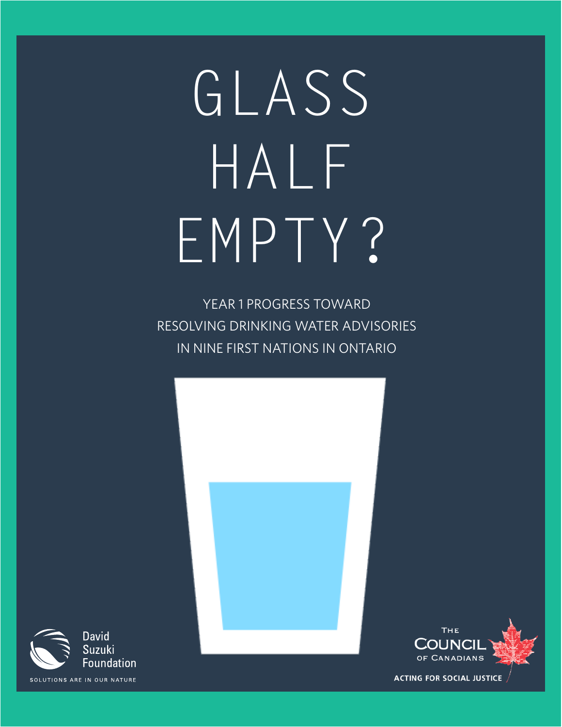# GLASS HALF EMPTY?

YEAR 1 PROGRESS TOWARD RESOLVING DRINKING WATER ADVISORIES IN NINE FIRST NATIONS IN ONTARIO





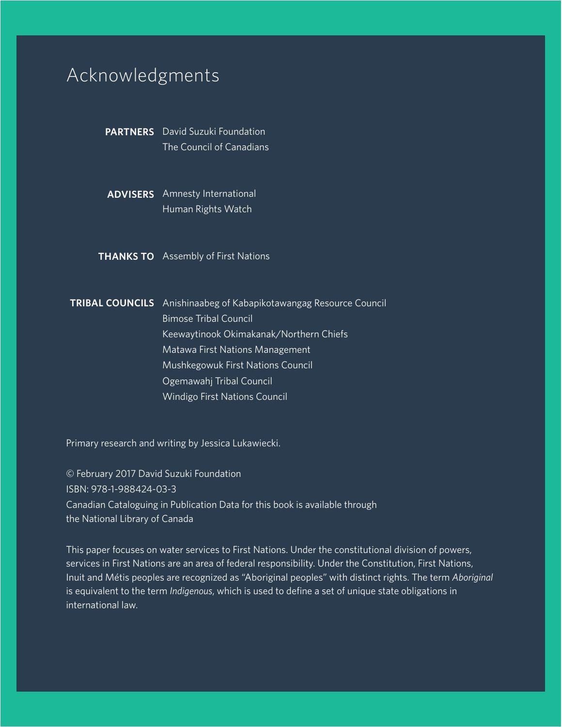# Acknowledgments

PARTNERS David Suzuki Foundation The Council of Canadians

ADVISERS Amnesty International Human Rights Watch

**THANKS TO** Assembly of First Nations

**TRIBAL COUNCILS** Anishinaabeg of Kabapikotawangag Resource Council Bimose Tribal Council Keewaytinook Okimakanak/Northern Chiefs Matawa First Nations Management Mushkegowuk First Nations Council Ogemawahj Tribal Council Windigo First Nations Council

Primary research and writing by Jessica Lukawiecki.

© February 2017 David Suzuki Foundation ISBN: 978-1-988424-03-3 Canadian Cataloguing in Publication Data for this book is available through the National Library of Canada

This paper focuses on water services to First Nations. Under the constitutional division of powers, services in First Nations are an area of federal responsibility. Under the Constitution, First Nations, Inuit and Métis peoples are recognized as "Aboriginal peoples" with distinct rights. The term *Aboriginal* is equivalent to the term *Indigenous*, which is used to define a set of unique state obligations in international law.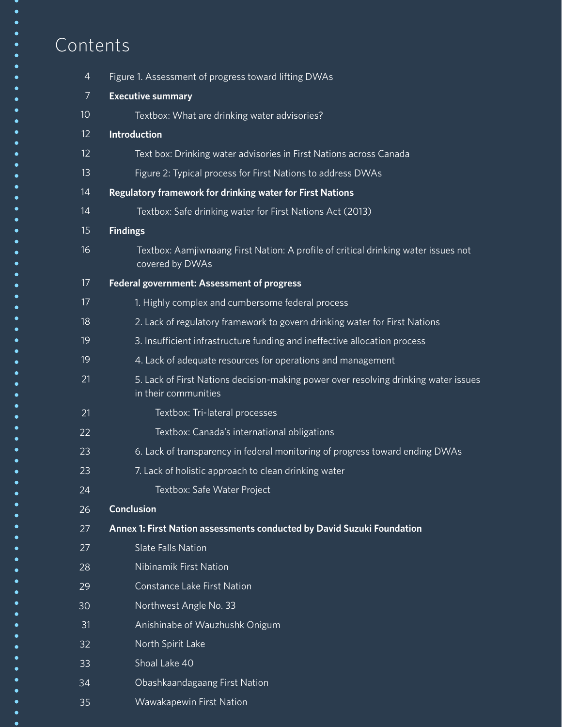# Contents

| $\overline{4}$  | Figure 1. Assessment of progress toward lifting DWAs                                                        |
|-----------------|-------------------------------------------------------------------------------------------------------------|
| $\overline{7}$  | <b>Executive summary</b>                                                                                    |
| 10 <sup>°</sup> | Textbox: What are drinking water advisories?                                                                |
| 12              | <b>Introduction</b>                                                                                         |
| 12 <sup>2</sup> | Text box: Drinking water advisories in First Nations across Canada                                          |
| 13              | Figure 2: Typical process for First Nations to address DWAs                                                 |
| 14              | Regulatory framework for drinking water for First Nations                                                   |
| 14              | Textbox: Safe drinking water for First Nations Act (2013)                                                   |
| 15              | <b>Findings</b>                                                                                             |
| 16              | Textbox: Aamjiwnaang First Nation: A profile of critical drinking water issues not<br>covered by DWAs       |
| 17              | Federal government: Assessment of progress                                                                  |
| 17              | 1. Highly complex and cumbersome federal process                                                            |
| 18              | 2. Lack of regulatory framework to govern drinking water for First Nations                                  |
| 19              | 3. Insufficient infrastructure funding and ineffective allocation process                                   |
| 19              | 4. Lack of adequate resources for operations and management                                                 |
| 21              | 5. Lack of First Nations decision-making power over resolving drinking water issues<br>in their communities |
| 21              | Textbox: Tri-lateral processes                                                                              |
| 22              | Textbox: Canada's international obligations                                                                 |
| 23              | 6. Lack of transparency in federal monitoring of progress toward ending DWAs                                |
| 23              | 7. Lack of holistic approach to clean drinking water                                                        |
| 24              | Textbox: Safe Water Project                                                                                 |
| 26              | <b>Conclusion</b>                                                                                           |
| 27              | Annex 1: First Nation assessments conducted by David Suzuki Foundation                                      |
| 27              | <b>Slate Falls Nation</b>                                                                                   |
| 28              | Nibinamik First Nation                                                                                      |
| 29              | Constance Lake First Nation                                                                                 |
| 30              | Northwest Angle No. 33                                                                                      |
| 31              | Anishinabe of Wauzhushk Onigum                                                                              |
| 32              | North Spirit Lake                                                                                           |
| 33              | Shoal Lake 40                                                                                               |
| 34              | Obashkaandagaang First Nation                                                                               |
| 35              | Wawakapewin First Nation                                                                                    |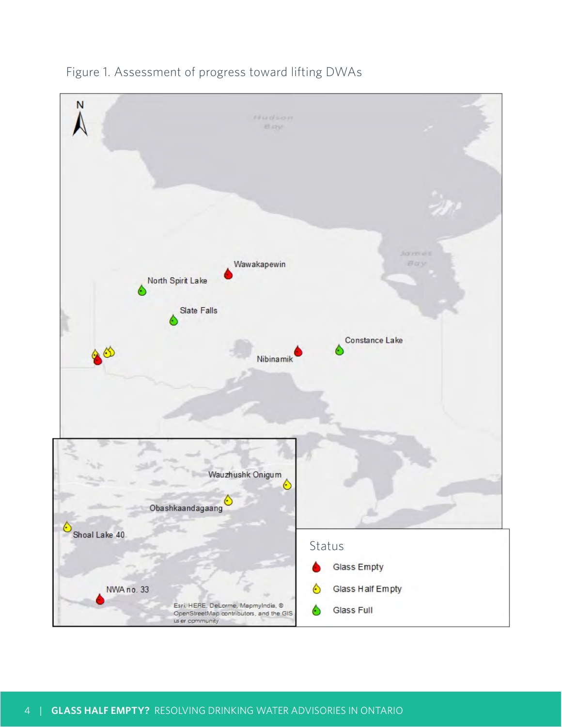

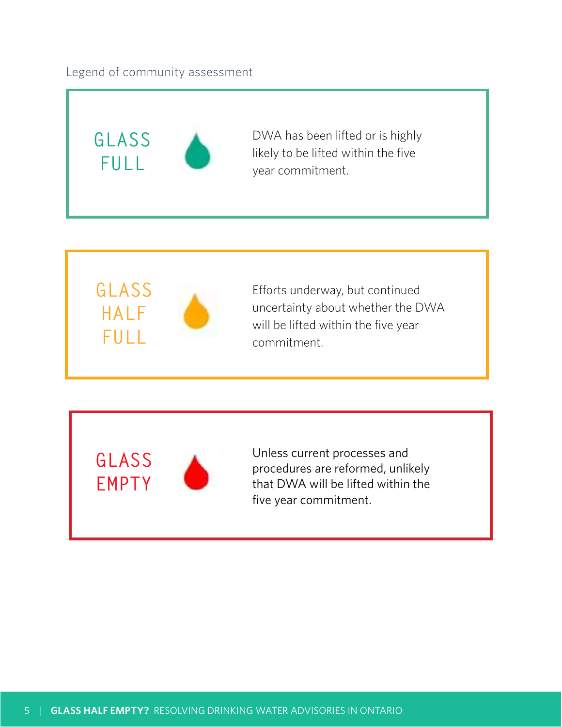## Legend of community assessment





Efforts underway, but continued uncertainty about whether the DWA will be lifted within the five year commitment.

**GLASS EMPTY**



Unless current processes and procedures are reformed, unlikely that DWA will be lifted within the five year commitment.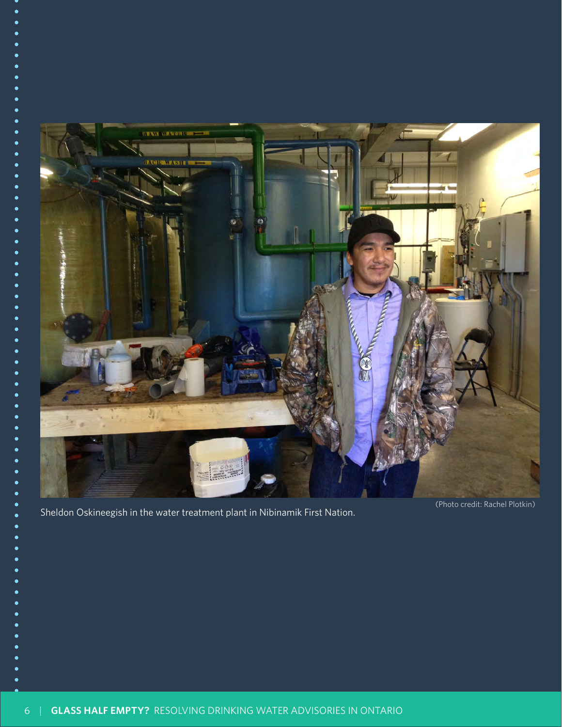

Sheldon Oskineegish in the water treatment plant in Nibinamik First Nation.

(Photo credit: Rachel Plotkin)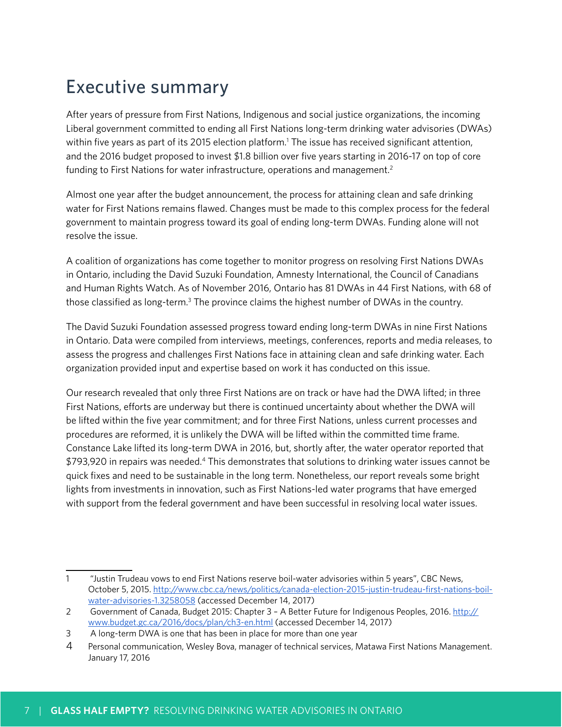# Executive summary

After years of pressure from First Nations, Indigenous and social justice organizations, the incoming Liberal government committed to ending all First Nations long-term drinking water advisories (DWAs) within five years as part of its 2015 election platform.<sup>1</sup> The issue has received significant attention, and the 2016 budget proposed to invest \$1.8 billion over five years starting in 2016-17 on top of core funding to First Nations for water infrastructure, operations and management.<sup>2</sup>

Almost one year after the budget announcement, the process for attaining clean and safe drinking water for First Nations remains flawed. Changes must be made to this complex process for the federal government to maintain progress toward its goal of ending long-term DWAs. Funding alone will not resolve the issue.

A coalition of organizations has come together to monitor progress on resolving First Nations DWAs in Ontario, including the David Suzuki Foundation, Amnesty International, the Council of Canadians and Human Rights Watch. As of November 2016, Ontario has 81 DWAs in 44 First Nations, with 68 of those classified as long-term.<sup>3</sup> The province claims the highest number of DWAs in the country.

The David Suzuki Foundation assessed progress toward ending long-term DWAs in nine First Nations in Ontario. Data were compiled from interviews, meetings, conferences, reports and media releases, to assess the progress and challenges First Nations face in attaining clean and safe drinking water. Each organization provided input and expertise based on work it has conducted on this issue.

Our research revealed that only three First Nations are on track or have had the DWA lifted; in three First Nations, efforts are underway but there is continued uncertainty about whether the DWA will be lifted within the five year commitment; and for three First Nations, unless current processes and procedures are reformed, it is unlikely the DWA will be lifted within the committed time frame. Constance Lake lifted its long-term DWA in 2016, but, shortly after, the water operator reported that \$793,920 in repairs was needed.4 This demonstrates that solutions to drinking water issues cannot be quick fixes and need to be sustainable in the long term. Nonetheless, our report reveals some bright lights from investments in innovation, such as First Nations-led water programs that have emerged with support from the federal government and have been successful in resolving local water issues.

<sup>1 &</sup>quot;Justin Trudeau vows to end First Nations reserve boil-water advisories within 5 years", CBC News, October 5, 2015. [http://www.cbc.ca/news/politics/canada-election-2015-justin-trudeau-first-nations-boil](http://www.cbc.ca/news/politics/canada-election-2015-justin-trudeau-first-nations-boil-water-advisories-1.3258058)[water-advisories-1.3258058](http://www.cbc.ca/news/politics/canada-election-2015-justin-trudeau-first-nations-boil-water-advisories-1.3258058) (accessed December 14, 2017)

<sup>2</sup> Government of Canada, Budget 2015: Chapter 3 - A Better Future for Indigenous Peoples, 2016[. http://](http://www.budget.gc.ca/2016/docs/plan/ch3-en.html) [www.budget.gc.ca/2016/docs/plan/ch3-en.html](http://www.budget.gc.ca/2016/docs/plan/ch3-en.html) (accessed December 14, 2017)

<sup>3</sup> A long-term DWA is one that has been in place for more than one year

<sup>4</sup> Personal communication, Wesley Bova, manager of technical services, Matawa First Nations Management. January 17, 2016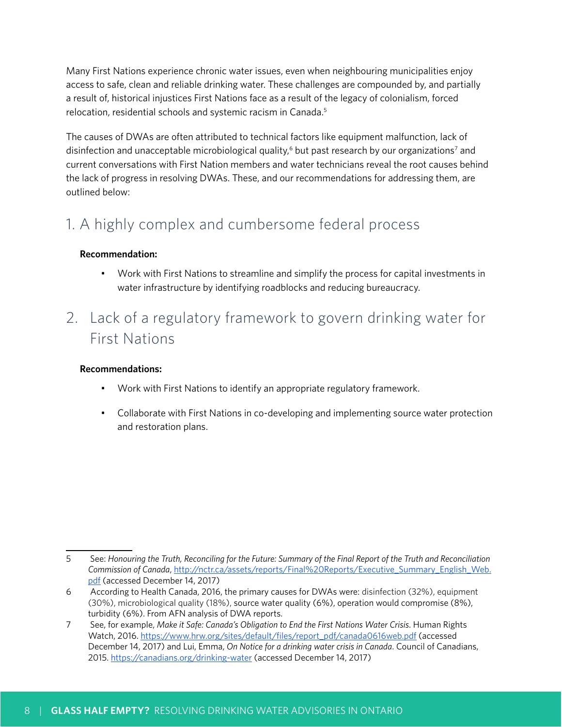Many First Nations experience chronic water issues, even when neighbouring municipalities enjoy access to safe, clean and reliable drinking water. These challenges are compounded by, and partially a result of, historical injustices First Nations face as a result of the legacy of colonialism, forced relocation, residential schools and systemic racism in Canada.5

The causes of DWAs are often attributed to technical factors like equipment malfunction, lack of disinfection and unacceptable microbiological quality,<sup>6</sup> but past research by our organizations<sup>7</sup> and current conversations with First Nation members and water technicians reveal the root causes behind the lack of progress in resolving DWAs. These, and our recommendations for addressing them, are outlined below:

# 1. A highly complex and cumbersome federal process

## **Recommendation:**

• Work with First Nations to streamline and simplify the process for capital investments in water infrastructure by identifying roadblocks and reducing bureaucracy.

# 2. Lack of a regulatory framework to govern drinking water for First Nations

## **Recommendations:**

- Work with First Nations to identify an appropriate regulatory framework.
- Collaborate with First Nations in co-developing and implementing source water protection and restoration plans.

<sup>5</sup> See: *Honouring the Truth, Reconciling for the Future: Summary of the Final Report of the Truth and Reconciliation Commission of Canada*[, http://nctr.ca/assets/reports/Final%20Reports/Executive\\_Summary\\_English\\_Web.](http://nctr.ca/assets/reports/Final%20Reports/Executive_Summary_English_Web.pdf) [pdf](http://nctr.ca/assets/reports/Final%20Reports/Executive_Summary_English_Web.pdf) (accessed December 14, 2017)

<sup>6</sup> According to Health Canada, 2016, the primary causes for DWAs were: disinfection (32%), equipment (30%), microbiological quality (18%), source water quality (6%), operation would compromise (8%), turbidity (6%). From AFN analysis of DWA reports.

<sup>7</sup> See, for example, *Make it Safe: Canada's Obligation to End the First Nations Water Crisis*. Human Rights Watch, 2016[. https://www.hrw.org/sites/default/files/report\\_pdf/canada0616web.pdf](https://www.hrw.org/sites/default/files/report_pdf/canada0616web.pdf) (accessed December 14, 2017) and Lui, Emma, *On Notice for a drinking water crisis in Canada*. Council of Canadians, 2015.<https://canadians.org/drinking-water>(accessed December 14, 2017)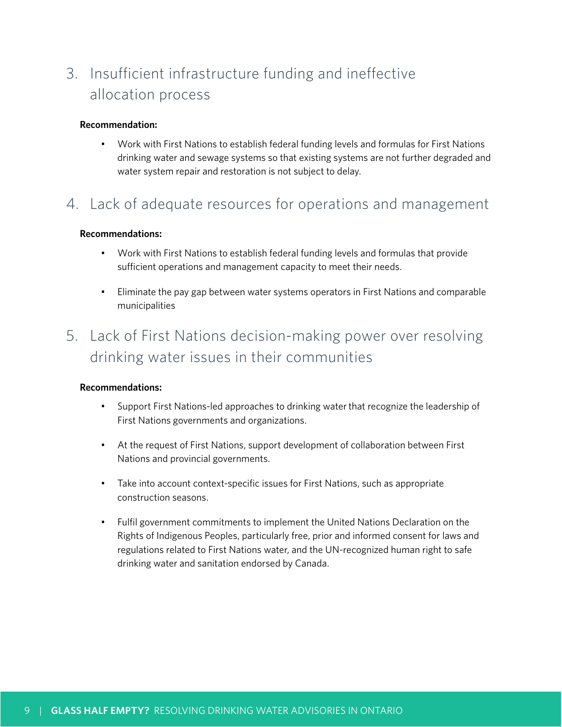# 3. Insufficient infrastructure funding and ineffective allocation process

#### **Recommendation:**

• Work with First Nations to establish federal funding levels and formulas for First Nations drinking water and sewage systems so that existing systems are not further degraded and water system repair and restoration is not subject to delay.

## 4. Lack of adequate resources for operations and management

#### **Recommendations:**

- Work with First Nations to establish federal funding levels and formulas that provide sufficient operations and management capacity to meet their needs.
- Eliminate the pay gap between water systems operators in First Nations and comparable municipalities

# 5. Lack of First Nations decision-making power over resolving drinking water issues in their communities

#### **Recommendations:**

- Support First Nations-led approaches to drinking water that recognize the leadership of First Nations governments and organizations.
- At the request of First Nations, support development of collaboration between First Nations and provincial governments.
- Take into account context-specific issues for First Nations, such as appropriate construction seasons.
- Fulfil government commitments to implement the United Nations Declaration on the Rights of Indigenous Peoples, particularly free, prior and informed consent for laws and regulations related to First Nations water, and the UN-recognized human right to safe drinking water and sanitation endorsed by Canada.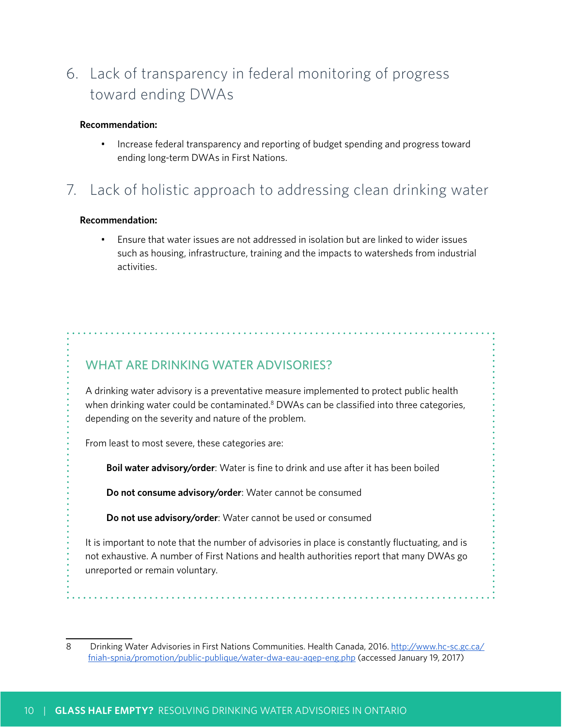# 6. Lack of transparency in federal monitoring of progress toward ending DWAs

#### **Recommendation:**

• Increase federal transparency and reporting of budget spending and progress toward ending long-term DWAs in First Nations.

# 7. Lack of holistic approach to addressing clean drinking water

#### **Recommendation:**

• Ensure that water issues are not addressed in isolation but are linked to wider issues such as housing, infrastructure, training and the impacts to watersheds from industrial activities.

## WHAT ARE DRINKING WATER ADVISORIES?

A drinking water advisory is a preventative measure implemented to protect public health when drinking water could be contaminated.<sup>8</sup> DWAs can be classified into three categories, depending on the severity and nature of the problem.

From least to most severe, these categories are:

**Boil water advisory/order**: Water is fine to drink and use after it has been boiled

**Do not consume advisory/order**: Water cannot be consumed

**Do not use advisory/order**: Water cannot be used or consumed

It is important to note that the number of advisories in place is constantly fluctuating, and is not exhaustive. A number of First Nations and health authorities report that many DWAs go unreported or remain voluntary.

<sup>8</sup> Drinking Water Advisories in First Nations Communities. Health Canada, 2016[. http://www.hc-sc.gc.ca/](http://www.hc-sc.gc.ca/fniah-spnia/promotion/public-publique/water-dwa-eau-aqep-eng.php) [fniah-spnia/promotion/public-publique/water-dwa-eau-aqep-eng.php](http://www.hc-sc.gc.ca/fniah-spnia/promotion/public-publique/water-dwa-eau-aqep-eng.php) (accessed January 19, 2017)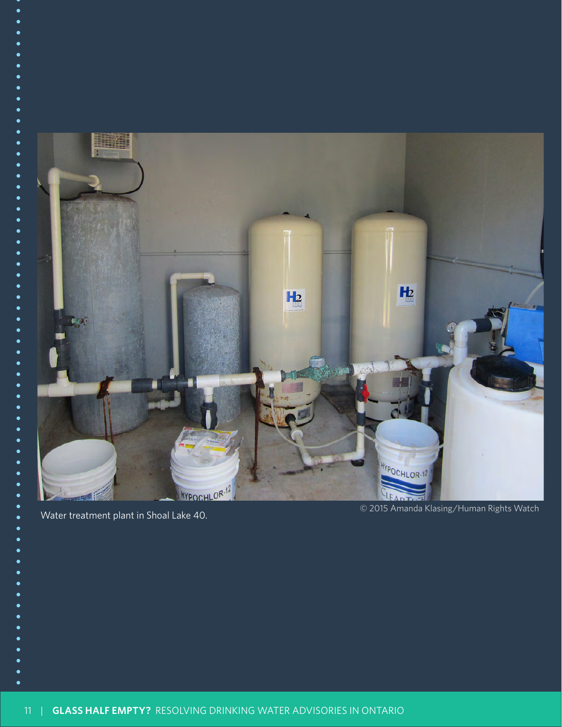

Water treatment plant in Shoal Lake 40.

© 2015 Amanda Klasing/Human Rights Watch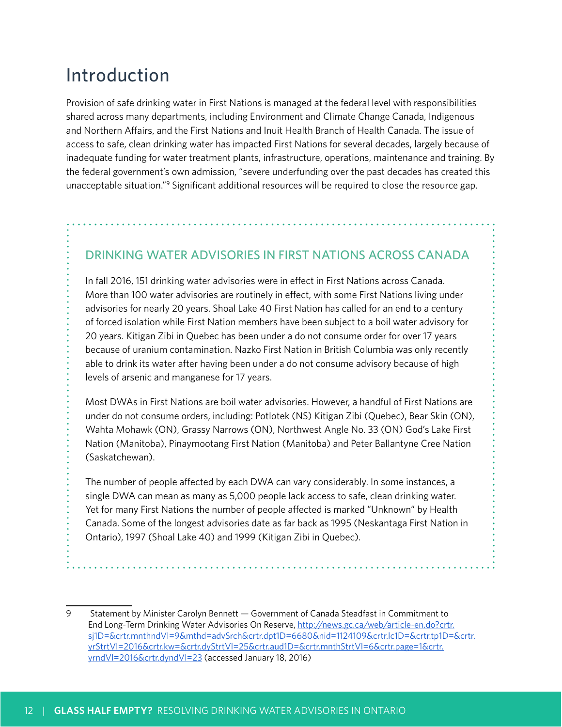# Introduction

Provision of safe drinking water in First Nations is managed at the federal level with responsibilities shared across many departments, including Environment and Climate Change Canada, Indigenous and Northern Affairs, and the First Nations and Inuit Health Branch of Health Canada. The issue of access to safe, clean drinking water has impacted First Nations for several decades, largely because of inadequate funding for water treatment plants, infrastructure, operations, maintenance and training. By the federal government's own admission, "severe underfunding over the past decades has created this unacceptable situation."<sup>9</sup> Significant additional resources will be required to close the resource gap.

## DRINKING WATER ADVISORIES IN FIRST NATIONS ACROSS CANADA

In fall 2016, 151 drinking water advisories were in effect in First Nations across Canada. More than 100 water advisories are routinely in effect, with some First Nations living under advisories for nearly 20 years. Shoal Lake 40 First Nation has called for an end to a century of forced isolation while First Nation members have been subject to a boil water advisory for 20 years. Kitigan Zibi in Quebec has been under a do not consume order for over 17 years because of uranium contamination. Nazko First Nation in British Columbia was only recently able to drink its water after having been under a do not consume advisory because of high levels of arsenic and manganese for 17 years.

Most DWAs in First Nations are boil water advisories. However, a handful of First Nations are under do not consume orders, including: Potlotek (NS) Kitigan Zibi (Quebec), Bear Skin (ON), Wahta Mohawk (ON), Grassy Narrows (ON), Northwest Angle No. 33 (ON) God's Lake First Nation (Manitoba), Pinaymootang First Nation (Manitoba) and Peter Ballantyne Cree Nation (Saskatchewan).

The number of people affected by each DWA can vary considerably. In some instances, a single DWA can mean as many as 5,000 people lack access to safe, clean drinking water. Yet for many First Nations the number of people affected is marked "Unknown" by Health Canada. Some of the longest advisories date as far back as 1995 (Neskantaga First Nation in Ontario), 1997 (Shoal Lake 40) and 1999 (Kitigan Zibi in Quebec).

<sup>9</sup> Statement by Minister Carolyn Bennett — Government of Canada Steadfast in Commitment to End Long-Term Drinking Water Advisories On Reserve, [http://news.gc.ca/web/article-en.do?crtr.](http://news.gc.ca/web/article-en.do?crtr.sj1D=&crtr.mnthndVl=9&mthd=advSrch&crtr.dpt1D=6680&nid=1124109&crtr.lc1D=&crtr.tp1D=&crtr.yrStrtVl=2016&crtr.kw=&crtr.dyStrtVl=25&crtr.aud1D=&crtr.mnthStrtVl=6&crtr.page=1&crtr.yrndVl=2016&crtr.dyndVl=23) [sj1D=&crtr.mnthndVl=9&mthd=advSrch&crtr.dpt1D=6680&nid=1124109&crtr.lc1D=&crtr.tp1D=&crtr.](http://news.gc.ca/web/article-en.do?crtr.sj1D=&crtr.mnthndVl=9&mthd=advSrch&crtr.dpt1D=6680&nid=1124109&crtr.lc1D=&crtr.tp1D=&crtr.yrStrtVl=2016&crtr.kw=&crtr.dyStrtVl=25&crtr.aud1D=&crtr.mnthStrtVl=6&crtr.page=1&crtr.yrndVl=2016&crtr.dyndVl=23) [yrStrtVl=2016&crtr.kw=&crtr.dyStrtVl=25&crtr.aud1D=&crtr.mnthStrtVl=6&crtr.page=1&crtr.](http://news.gc.ca/web/article-en.do?crtr.sj1D=&crtr.mnthndVl=9&mthd=advSrch&crtr.dpt1D=6680&nid=1124109&crtr.lc1D=&crtr.tp1D=&crtr.yrStrtVl=2016&crtr.kw=&crtr.dyStrtVl=25&crtr.aud1D=&crtr.mnthStrtVl=6&crtr.page=1&crtr.yrndVl=2016&crtr.dyndVl=23) [yrndVl=2016&crtr.dyndVl=23](http://news.gc.ca/web/article-en.do?crtr.sj1D=&crtr.mnthndVl=9&mthd=advSrch&crtr.dpt1D=6680&nid=1124109&crtr.lc1D=&crtr.tp1D=&crtr.yrStrtVl=2016&crtr.kw=&crtr.dyStrtVl=25&crtr.aud1D=&crtr.mnthStrtVl=6&crtr.page=1&crtr.yrndVl=2016&crtr.dyndVl=23) (accessed January 18, 2016)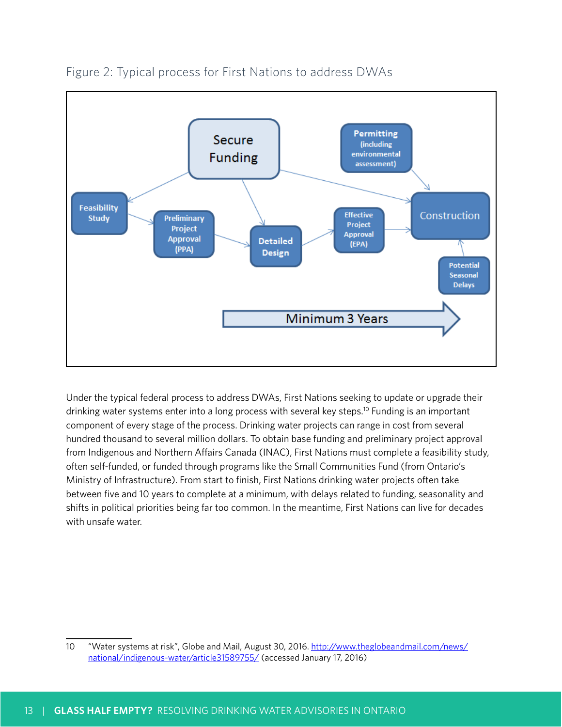

## Figure 2: Typical process for First Nations to address DWAs

Under the typical federal process to address DWAs, First Nations seeking to update or upgrade their drinking water systems enter into a long process with several key steps.10 Funding is an important component of every stage of the process. Drinking water projects can range in cost from several hundred thousand to several million dollars. To obtain base funding and preliminary project approval from Indigenous and Northern Affairs Canada (INAC), First Nations must complete a feasibility study, often self-funded, or funded through programs like the Small Communities Fund (from Ontario's Ministry of Infrastructure). From start to finish, First Nations drinking water projects often take between five and 10 years to complete at a minimum, with delays related to funding, seasonality and shifts in political priorities being far too common. In the meantime, First Nations can live for decades with unsafe water.

<sup>10</sup> "Water systems at risk", Globe and Mail, August 30, 2016. [http://www.theglobeandmail.com/news/](http://www.theglobeandmail.com/news/national/indigenous-water/article31589755/) [national/indigenous-water/article31589755/](http://www.theglobeandmail.com/news/national/indigenous-water/article31589755/) (accessed January 17, 2016)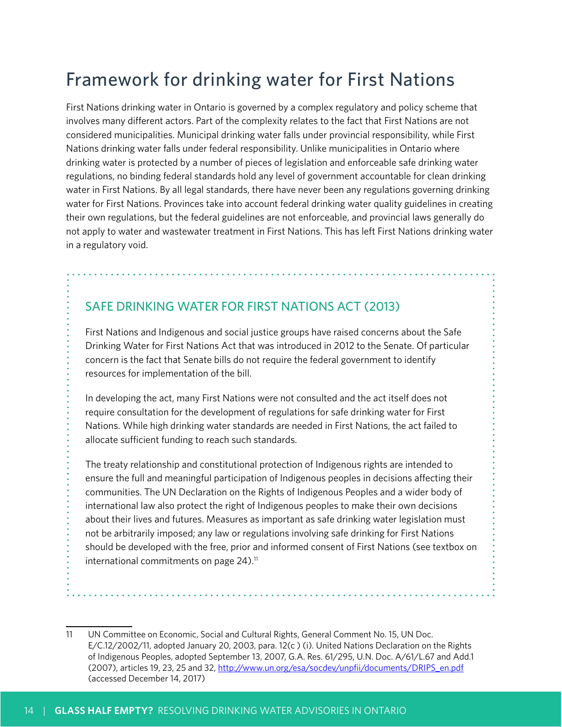# Framework for drinking water for First Nations

First Nations drinking water in Ontario is governed by a complex regulatory and policy scheme that involves many different actors. Part of the complexity relates to the fact that First Nations are not considered municipalities. Municipal drinking water falls under provincial responsibility, while First Nations drinking water falls under federal responsibility. Unlike municipalities in Ontario where drinking water is protected by a number of pieces of legislation and enforceable safe drinking water regulations, no binding federal standards hold any level of government accountable for clean drinking water in First Nations. By all legal standards, there have never been any regulations governing drinking water for First Nations. Provinces take into account federal drinking water quality guidelines in creating their own regulations, but the federal guidelines are not enforceable, and provincial laws generally do not apply to water and wastewater treatment in First Nations. This has left First Nations drinking water in a regulatory void.

## SAFE DRINKING WATER FOR FIRST NATIONS ACT (2013)

First Nations and Indigenous and social justice groups have raised concerns about the Safe Drinking Water for First Nations Act that was introduced in 2012 to the Senate. Of particular concern is the fact that Senate bills do not require the federal government to identify resources for implementation of the bill.

In developing the act, many First Nations were not consulted and the act itself does not require consultation for the development of regulations for safe drinking water for First Nations. While high drinking water standards are needed in First Nations, the act failed to allocate sufficient funding to reach such standards.

The treaty relationship and constitutional protection of Indigenous rights are intended to ensure the full and meaningful participation of Indigenous peoples in decisions affecting their communities. The UN Declaration on the Rights of Indigenous Peoples and a wider body of international law also protect the right of Indigenous peoples to make their own decisions about their lives and futures. Measures as important as safe drinking water legislation must not be arbitrarily imposed; any law or regulations involving safe drinking for First Nations should be developed with the free, prior and informed consent of First Nations (see textbox on international commitments on page  $24$ ).<sup>11</sup>

<sup>11</sup> UN Committee on Economic, Social and Cultural Rights, General Comment No. 15, UN Doc. E/C.12/2002/11, adopted January 20, 2003, para. 12(c ) (i). United Nations Declaration on the Rights of Indigenous Peoples, adopted September 13, 2007, G.A. Res. 61/295, U.N. Doc. A/61/L.67 and Add.1 (2007), articles 19, 23, 25 and 32, [http://www.un.org/esa/socdev/unpfii/documents/DRIPS\\_en.pdf](http://www.un.org/esa/socdev/unpfii/documents/DRIPS_en.pdf) (accessed December 14, 2017)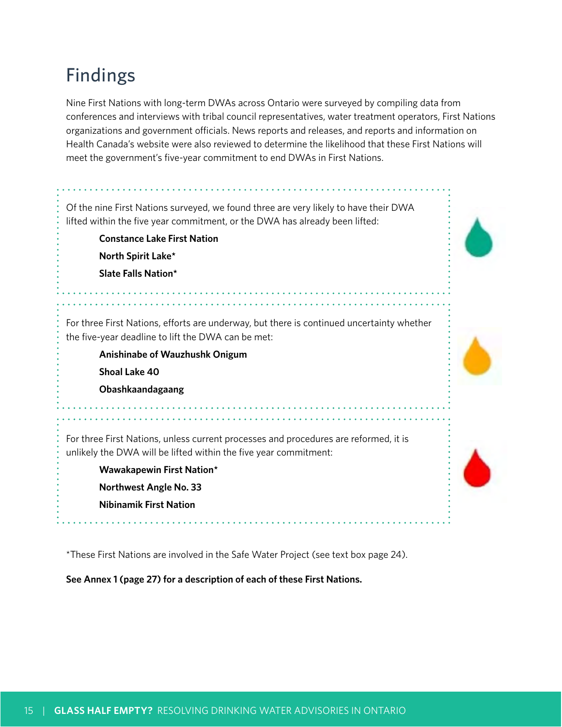# Findings

Nine First Nations with long-term DWAs across Ontario were surveyed by compiling data from conferences and interviews with tribal council representatives, water treatment operators, First Nations organizations and government officials. News reports and releases, and reports and information on Health Canada's website were also reviewed to determine the likelihood that these First Nations will meet the government's five-year commitment to end DWAs in First Nations.

Of the nine First Nations surveyed, we found three are very likely to have their DWA lifted within the five year commitment, or the DWA has already been lifted: **Constance Lake First Nation North Spirit Lake\* Slate Falls Nation\*** For three First Nations, efforts are underway, but there is continued uncertainty whether the five-year deadline to lift the DWA can be met: **Anishinabe of Wauzhushk Onigum Shoal Lake 40 Obashkaandagaang** For three First Nations, unless current processes and procedures are reformed, it is unlikely the DWA will be lifted within the five year commitment: **Wawakapewin First Nation\* Northwest Angle No. 33 Nibinamik First Nation** 

\*These First Nations are involved in the Safe Water Project (see text box page 24).

**See Annex 1 (page 27) for a description of each of these First Nations.**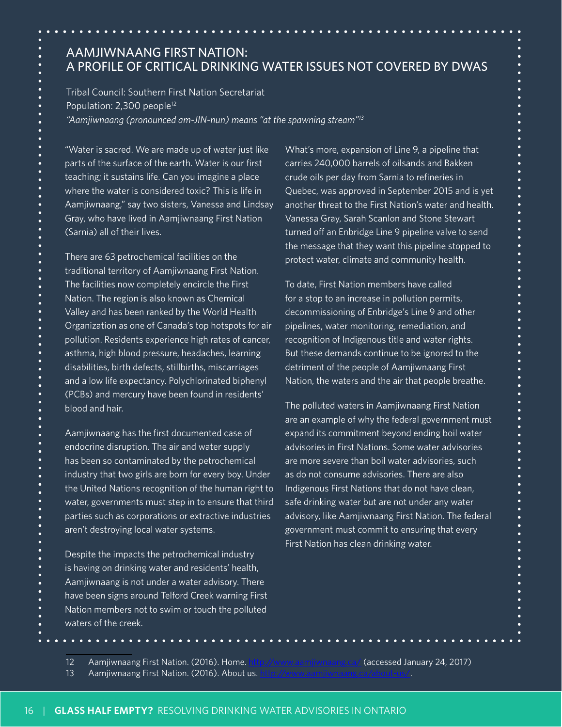## AAMJIWNAANG FIRST NATION: A PROFILE OF CRITICAL DRINKING WATER ISSUES NOT COVERED BY DWAS

Tribal Council: Southern First Nation Secretariat Population: 2,300 people<sup>12</sup>

*"Aamjiwnaang (pronounced am-JIN-nun) means "at the spawning stream"13*

"Water is sacred. We are made up of water just like parts of the surface of the earth. Water is our first teaching; it sustains life. Can you imagine a place where the water is considered toxic? This is life in Aamjiwnaang," say two sisters, Vanessa and Lindsay Gray, who have lived in Aamjiwnaang First Nation (Sarnia) all of their lives.

There are 63 petrochemical facilities on the traditional territory of Aamjiwnaang First Nation. The facilities now completely encircle the First Nation. The region is also known as Chemical Valley and has been ranked by the World Health Organization as one of Canada's top hotspots for air pollution. Residents experience high rates of cancer, asthma, high blood pressure, headaches, learning disabilities, birth defects, stillbirths, miscarriages and a low life expectancy. Polychlorinated biphenyl (PCBs) and mercury have been found in residents' blood and hair.

Aamjiwnaang has the first documented case of endocrine disruption. The air and water supply has been so contaminated by the petrochemical industry that two girls are born for every boy. Under the United Nations recognition of the human right to water, governments must step in to ensure that third parties such as corporations or extractive industries aren't destroying local water systems.

Despite the impacts the petrochemical industry is having on drinking water and residents' health, Aamjiwnaang is not under a water advisory. There have been signs around Telford Creek warning First Nation members not to swim or touch the polluted waters of the creek.

What's more, expansion of Line 9, a pipeline that carries 240,000 barrels of oilsands and Bakken crude oils per day from Sarnia to refineries in Quebec, was approved in September 2015 and is yet another threat to the First Nation's water and health. Vanessa Gray, Sarah Scanlon and Stone Stewart turned off an Enbridge Line 9 pipeline valve to send the message that they want this pipeline stopped to protect water, climate and community health.

To date, First Nation members have called for a stop to an increase in pollution permits, decommissioning of Enbridge's Line 9 and other pipelines, water monitoring, remediation, and recognition of Indigenous title and water rights. But these demands continue to be ignored to the detriment of the people of Aamjiwnaang First Nation, the waters and the air that people breathe.

The polluted waters in Aamjiwnaang First Nation are an example of why the federal government must expand its commitment beyond ending boil water advisories in First Nations. Some water advisories are more severe than boil water advisories, such as do not consume advisories. There are also Indigenous First Nations that do not have clean, safe drinking water but are not under any water advisory, like Aamjiwnaang First Nation. The federal government must commit to ensuring that every First Nation has clean drinking water.

<sup>12</sup> Aamjiwnaang First Nation. (2016). Home. <http://www.aamjiwnaang.ca/> (accessed January 24, 2017)

<sup>13</sup> Aamjiwnaang First Nation. (2016). About us.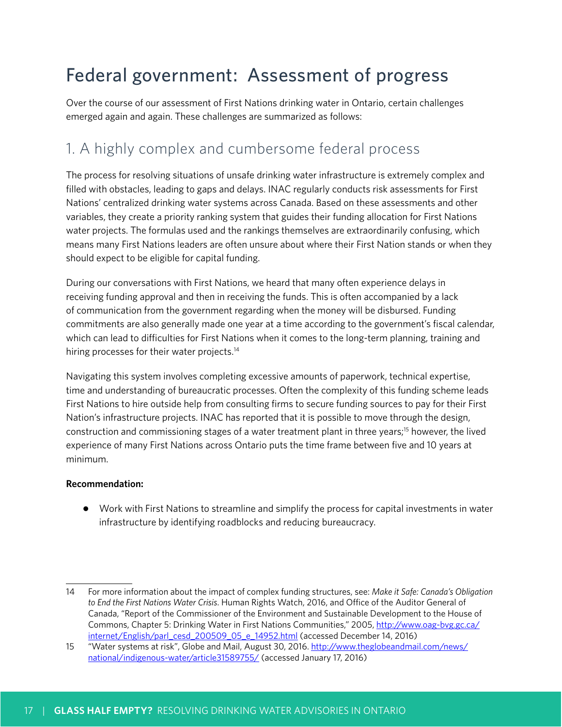# Federal government: Assessment of progress

Over the course of our assessment of First Nations drinking water in Ontario, certain challenges emerged again and again. These challenges are summarized as follows:

# 1. A highly complex and cumbersome federal process

The process for resolving situations of unsafe drinking water infrastructure is extremely complex and filled with obstacles, leading to gaps and delays. INAC regularly conducts risk assessments for First Nations' centralized drinking water systems across Canada. Based on these assessments and other variables, they create a priority ranking system that guides their funding allocation for First Nations water projects. The formulas used and the rankings themselves are extraordinarily confusing, which means many First Nations leaders are often unsure about where their First Nation stands or when they should expect to be eligible for capital funding.

During our conversations with First Nations, we heard that many often experience delays in receiving funding approval and then in receiving the funds. This is often accompanied by a lack of communication from the government regarding when the money will be disbursed. Funding commitments are also generally made one year at a time according to the government's fiscal calendar, which can lead to difficulties for First Nations when it comes to the long-term planning, training and hiring processes for their water projects.<sup>14</sup>

Navigating this system involves completing excessive amounts of paperwork, technical expertise, time and understanding of bureaucratic processes. Often the complexity of this funding scheme leads First Nations to hire outside help from consulting firms to secure funding sources to pay for their First Nation's infrastructure projects. INAC has reported that it is possible to move through the design, construction and commissioning stages of a water treatment plant in three years;15 however, the lived experience of many First Nations across Ontario puts the time frame between five and 10 years at minimum.

## **Recommendation:**

● Work with First Nations to streamline and simplify the process for capital investments in water infrastructure by identifying roadblocks and reducing bureaucracy.

<sup>14</sup> For more information about the impact of complex funding structures, see: *Make it Safe: Canada's Obligation to End the First Nations Water Crisis*. Human Rights Watch, 2016, and Office of the Auditor General of Canada, "Report of the Commissioner of the Environment and Sustainable Development to the House of Commons, Chapter 5: Drinking Water in First Nations Communities," 2005, [http://www.oag-bvg.gc.ca/](http://www.oag-bvg.gc.ca/internet/English/parl_cesd_200509_05_e_14952.html) [internet/English/parl\\_cesd\\_200509\\_05\\_e\\_14952.html](http://www.oag-bvg.gc.ca/internet/English/parl_cesd_200509_05_e_14952.html) (accessed December 14, 2016)

<sup>15 &</sup>quot;Water systems at risk", Globe and Mail, August 30, 2016. [http://www.theglobeandmail.com/news/](http://www.theglobeandmail.com/news/national/indigenous-water/article31589755/) [national/indigenous-water/article31589755/](http://www.theglobeandmail.com/news/national/indigenous-water/article31589755/) (accessed January 17, 2016)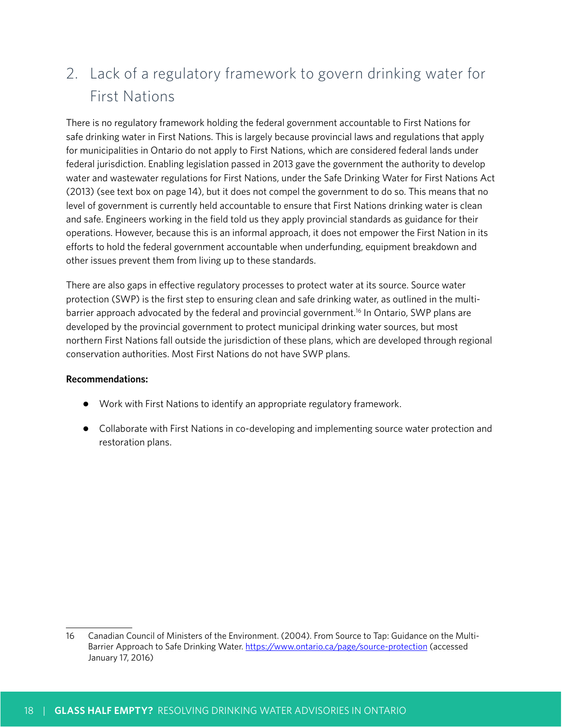# 2. Lack of a regulatory framework to govern drinking water for First Nations

There is no regulatory framework holding the federal government accountable to First Nations for safe drinking water in First Nations. This is largely because provincial laws and regulations that apply for municipalities in Ontario do not apply to First Nations, which are considered federal lands under federal jurisdiction. Enabling legislation passed in 2013 gave the government the authority to develop water and wastewater regulations for First Nations, under the Safe Drinking Water for First Nations Act (2013) (see text box on page 14), but it does not compel the government to do so. This means that no level of government is currently held accountable to ensure that First Nations drinking water is clean and safe. Engineers working in the field told us they apply provincial standards as guidance for their operations. However, because this is an informal approach, it does not empower the First Nation in its efforts to hold the federal government accountable when underfunding, equipment breakdown and other issues prevent them from living up to these standards.

There are also gaps in effective regulatory processes to protect water at its source. Source water protection (SWP) is the first step to ensuring clean and safe drinking water, as outlined in the multibarrier approach advocated by the federal and provincial government.<sup>16</sup> In Ontario, SWP plans are developed by the provincial government to protect municipal drinking water sources, but most northern First Nations fall outside the jurisdiction of these plans, which are developed through regional conservation authorities. Most First Nations do not have SWP plans.

## **Recommendations:**

- Work with First Nations to identify an appropriate regulatory framework.
- Collaborate with First Nations in co-developing and implementing source water protection and restoration plans.

<sup>16</sup> Canadian Council of Ministers of the Environment. (2004). From Source to Tap: Guidance on the MultiBarrier Approach to Safe Drinking Water.<https://www.ontario.ca/page/source-protection>(accessed January 17, 2016)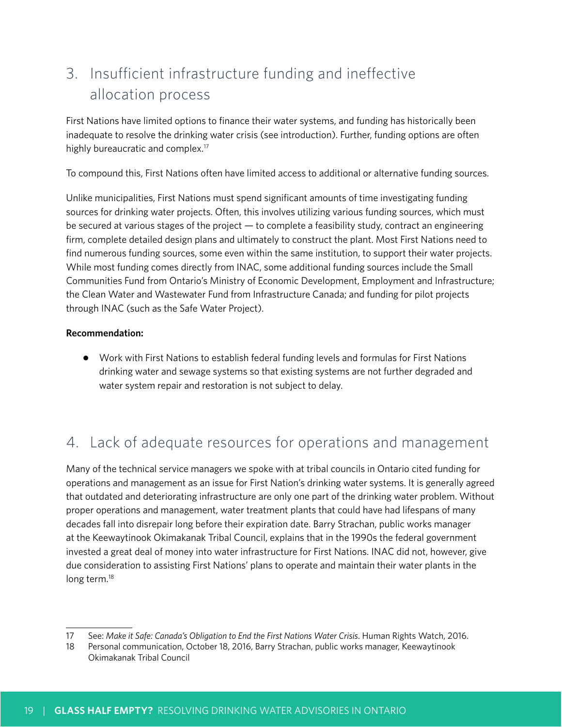# 3. Insufficient infrastructure funding and ineffective allocation process

First Nations have limited options to finance their water systems, and funding has historically been inadequate to resolve the drinking water crisis (see introduction). Further, funding options are often highly bureaucratic and complex.<sup>17</sup>

To compound this, First Nations often have limited access to additional or alternative funding sources.

Unlike municipalities, First Nations must spend significant amounts of time investigating funding sources for drinking water projects. Often, this involves utilizing various funding sources, which must be secured at various stages of the project — to complete a feasibility study, contract an engineering firm, complete detailed design plans and ultimately to construct the plant. Most First Nations need to find numerous funding sources, some even within the same institution, to support their water projects. While most funding comes directly from INAC, some additional funding sources include the Small Communities Fund from Ontario's Ministry of Economic Development, Employment and Infrastructure; the Clean Water and Wastewater Fund from Infrastructure Canada; and funding for pilot projects through INAC (such as the Safe Water Project).

#### **Recommendation:**

● Work with First Nations to establish federal funding levels and formulas for First Nations drinking water and sewage systems so that existing systems are not further degraded and water system repair and restoration is not subject to delay.

# 4. Lack of adequate resources for operations and management

Many of the technical service managers we spoke with at tribal councils in Ontario cited funding for operations and management as an issue for First Nation's drinking water systems. It is generally agreed that outdated and deteriorating infrastructure are only one part of the drinking water problem. Without proper operations and management, water treatment plants that could have had lifespans of many decades fall into disrepair long before their expiration date. Barry Strachan, public works manager at the Keewaytinook Okimakanak Tribal Council, explains that in the 1990s the federal government invested a great deal of money into water infrastructure for First Nations. INAC did not, however, give due consideration to assisting First Nations' plans to operate and maintain their water plants in the long term.<sup>18</sup>

<sup>17</sup> See: *Make it Safe: Canada's Obligation to End the First Nations Water Crisis*. Human Rights Watch, 2016.

<sup>18</sup> Personal communication, October 18, 2016, Barry Strachan, public works manager, Keewaytinook Okimakanak Tribal Council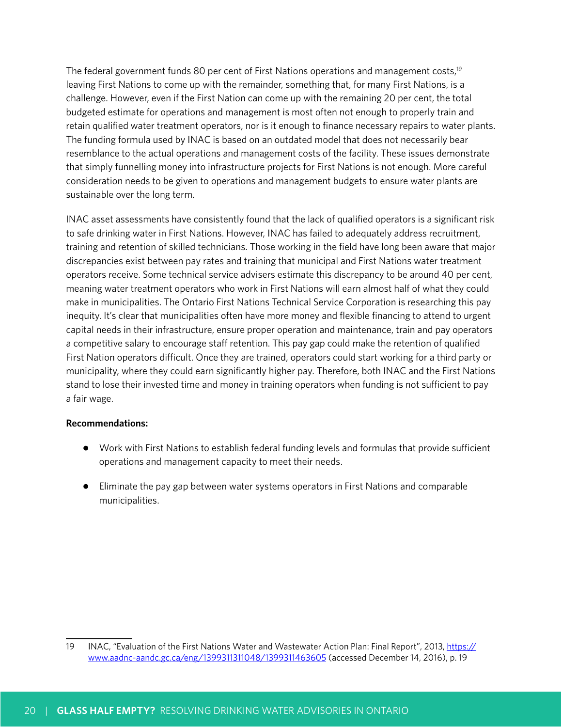The federal government funds 80 per cent of First Nations operations and management costs,<sup>19</sup> leaving First Nations to come up with the remainder, something that, for many First Nations, is a challenge. However, even if the First Nation can come up with the remaining 20 per cent, the total budgeted estimate for operations and management is most often not enough to properly train and retain qualified water treatment operators, nor is it enough to finance necessary repairs to water plants. The funding formula used by INAC is based on an outdated model that does not necessarily bear resemblance to the actual operations and management costs of the facility. These issues demonstrate that simply funnelling money into infrastructure projects for First Nations is not enough. More careful consideration needs to be given to operations and management budgets to ensure water plants are sustainable over the long term.

INAC asset assessments have consistently found that the lack of qualified operators is a significant risk to safe drinking water in First Nations. However, INAC has failed to adequately address recruitment, training and retention of skilled technicians. Those working in the field have long been aware that major discrepancies exist between pay rates and training that municipal and First Nations water treatment operators receive. Some technical service advisers estimate this discrepancy to be around 40 per cent, meaning water treatment operators who work in First Nations will earn almost half of what they could make in municipalities. The Ontario First Nations Technical Service Corporation is researching this pay inequity. It's clear that municipalities often have more money and flexible financing to attend to urgent capital needs in their infrastructure, ensure proper operation and maintenance, train and pay operators a competitive salary to encourage staff retention. This pay gap could make the retention of qualified First Nation operators difficult. Once they are trained, operators could start working for a third party or municipality, where they could earn significantly higher pay. Therefore, both INAC and the First Nations stand to lose their invested time and money in training operators when funding is not sufficient to pay a fair wage.

#### **Recommendations:**

- Work with First Nations to establish federal funding levels and formulas that provide sufficient operations and management capacity to meet their needs.
- Eliminate the pay gap between water systems operators in First Nations and comparable municipalities.

<sup>19</sup> INAC, "Evaluation of the First Nations Water and Wastewater Action Plan: Final Report", 2013, [https://](https://www.aadnc-aandc.gc.ca/eng/1399311311048/1399311463605) [www.aadnc-aandc.gc.ca/eng/1399311311048/1399311463605](https://www.aadnc-aandc.gc.ca/eng/1399311311048/1399311463605) (accessed December 14, 2016), p. 19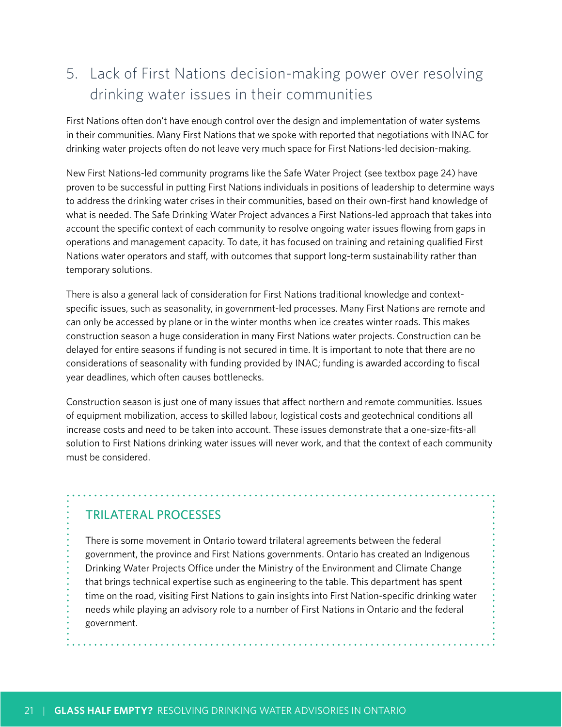# 5. Lack of First Nations decision-making power over resolving drinking water issues in their communities

First Nations often don't have enough control over the design and implementation of water systems in their communities. Many First Nations that we spoke with reported that negotiations with INAC for drinking water projects often do not leave very much space for First Nations-led decision-making.

New First Nations-led community programs like the Safe Water Project (see textbox page 24) have proven to be successful in putting First Nations individuals in positions of leadership to determine ways to address the drinking water crises in their communities, based on their own-first hand knowledge of what is needed. The Safe Drinking Water Project advances a First Nations-led approach that takes into account the specific context of each community to resolve ongoing water issues flowing from gaps in operations and management capacity. To date, it has focused on training and retaining qualified First Nations water operators and staff, with outcomes that support long-term sustainability rather than temporary solutions.

There is also a general lack of consideration for First Nations traditional knowledge and contextspecific issues, such as seasonality, in government-led processes. Many First Nations are remote and can only be accessed by plane or in the winter months when ice creates winter roads. This makes construction season a huge consideration in many First Nations water projects. Construction can be delayed for entire seasons if funding is not secured in time. It is important to note that there are no considerations of seasonality with funding provided by INAC; funding is awarded according to fiscal year deadlines, which often causes bottlenecks.

Construction season is just one of many issues that affect northern and remote communities. Issues of equipment mobilization, access to skilled labour, logistical costs and geotechnical conditions all increase costs and need to be taken into account. These issues demonstrate that a one-size-fits-all solution to First Nations drinking water issues will never work, and that the context of each community must be considered.

## TRILATERAL PROCESSES

There is some movement in Ontario toward trilateral agreements between the federal government, the province and First Nations governments. Ontario has created an Indigenous Drinking Water Projects Office under the Ministry of the Environment and Climate Change that brings technical expertise such as engineering to the table. This department has spent time on the road, visiting First Nations to gain insights into First Nation-specific drinking water needs while playing an advisory role to a number of First Nations in Ontario and the federal government.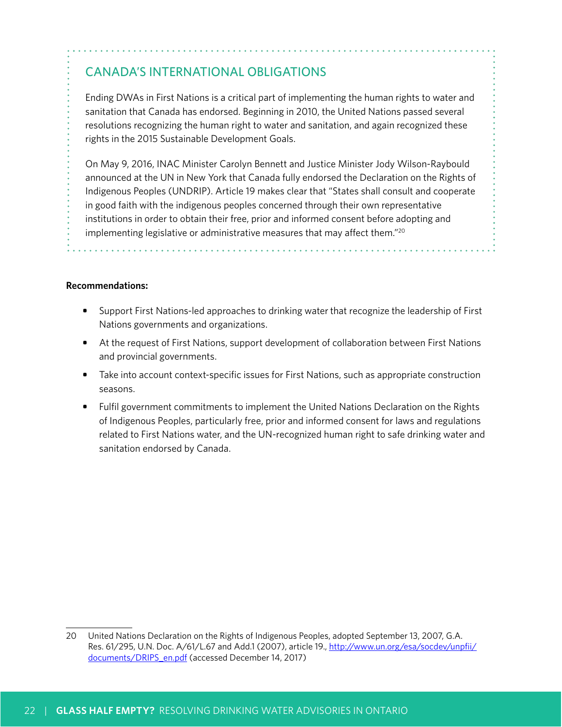## CANADA'S INTERNATIONAL OBLIGATIONS

Ending DWAs in First Nations is a critical part of implementing the human rights to water and sanitation that Canada has endorsed. Beginning in 2010, the United Nations passed several resolutions recognizing the human right to water and sanitation, and again recognized these rights in the 2015 Sustainable Development Goals.

On May 9, 2016, INAC Minister Carolyn Bennett and Justice Minister Jody Wilson-Raybould announced at the UN in New York that Canada fully endorsed the Declaration on the Rights of Indigenous Peoples (UNDRIP). Article 19 makes clear that "States shall consult and cooperate in good faith with the indigenous peoples concerned through their own representative institutions in order to obtain their free, prior and informed consent before adopting and implementing legislative or administrative measures that may affect them."20

#### **Recommendations:**

- **•** Support First Nations-led approaches to drinking water that recognize the leadership of First Nations governments and organizations.
- **•** At the request of First Nations, support development of collaboration between First Nations and provincial governments.
- Take into account context-specific issues for First Nations, such as appropriate construction seasons.
- **•** Fulfil government commitments to implement the United Nations Declaration on the Rights of Indigenous Peoples, particularly free, prior and informed consent for laws and regulations related to First Nations water, and the UN-recognized human right to safe drinking water and sanitation endorsed by Canada.

<sup>20</sup> United Nations Declaration on the Rights of Indigenous Peoples, adopted September 13, 2007, G.A. Res. 61/295, U.N. Doc. A/61/L.67 and Add.1 (2007), article 19., [http://www.un.org/esa/socdev/unpfii/](http://www.un.org/esa/socdev/unpfii/documents/DRIPS_en.pdf) [documents/DRIPS\\_en.pdf](http://www.un.org/esa/socdev/unpfii/documents/DRIPS_en.pdf) (accessed December 14, 2017)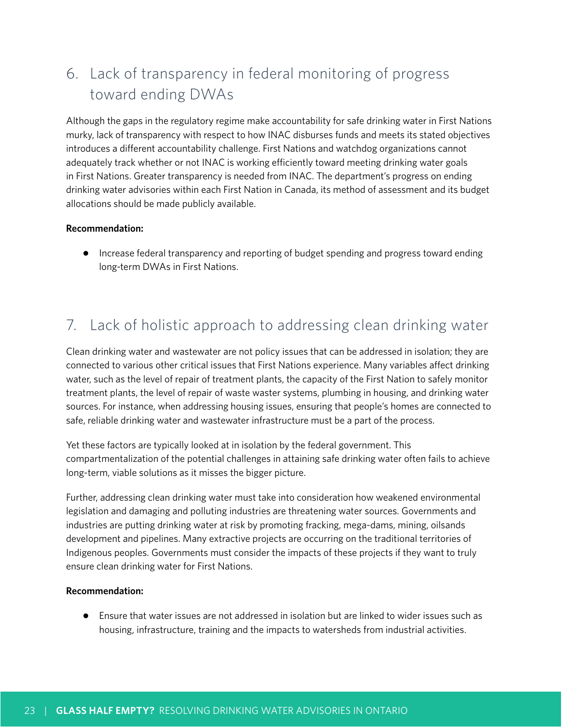# 6. Lack of transparency in federal monitoring of progress toward ending DWAs

Although the gaps in the regulatory regime make accountability for safe drinking water in First Nations murky, lack of transparency with respect to how INAC disburses funds and meets its stated objectives introduces a different accountability challenge. First Nations and watchdog organizations cannot adequately track whether or not INAC is working efficiently toward meeting drinking water goals in First Nations. Greater transparency is needed from INAC. The department's progress on ending drinking water advisories within each First Nation in Canada, its method of assessment and its budget allocations should be made publicly available.

#### **Recommendation:**

● Increase federal transparency and reporting of budget spending and progress toward ending long-term DWAs in First Nations.

# 7. Lack of holistic approach to addressing clean drinking water

Clean drinking water and wastewater are not policy issues that can be addressed in isolation; they are connected to various other critical issues that First Nations experience. Many variables affect drinking water, such as the level of repair of treatment plants, the capacity of the First Nation to safely monitor treatment plants, the level of repair of waste waster systems, plumbing in housing, and drinking water sources. For instance, when addressing housing issues, ensuring that people's homes are connected to safe, reliable drinking water and wastewater infrastructure must be a part of the process.

Yet these factors are typically looked at in isolation by the federal government. This compartmentalization of the potential challenges in attaining safe drinking water often fails to achieve long-term, viable solutions as it misses the bigger picture.

Further, addressing clean drinking water must take into consideration how weakened environmental legislation and damaging and polluting industries are threatening water sources. Governments and industries are putting drinking water at risk by promoting fracking, mega-dams, mining, oilsands development and pipelines. Many extractive projects are occurring on the traditional territories of Indigenous peoples. Governments must consider the impacts of these projects if they want to truly ensure clean drinking water for First Nations.

#### **Recommendation:**

● Ensure that water issues are not addressed in isolation but are linked to wider issues such as housing, infrastructure, training and the impacts to watersheds from industrial activities.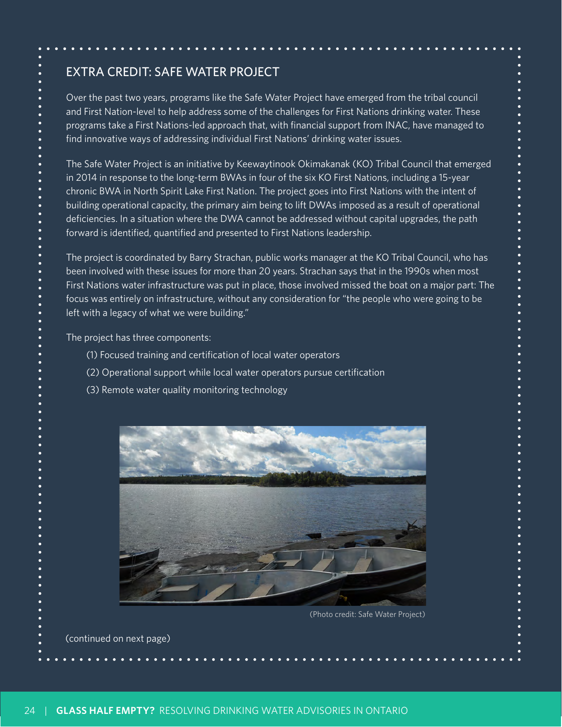## EXTRA CREDIT: SAFE WATER PROJECT

Over the past two years, programs like the Safe Water Project have emerged from the tribal council and First Nation-level to help address some of the challenges for First Nations drinking water. These programs take a First Nations-led approach that, with financial support from INAC, have managed to find innovative ways of addressing individual First Nations' drinking water issues.

The Safe Water Project is an initiative by Keewaytinook Okimakanak (KO) Tribal Council that emerged in 2014 in response to the long-term BWAs in four of the six KO First Nations, including a 15-year chronic BWA in North Spirit Lake First Nation. The project goes into First Nations with the intent of building operational capacity, the primary aim being to lift DWAs imposed as a result of operational deficiencies. In a situation where the DWA cannot be addressed without capital upgrades, the path forward is identified, quantified and presented to First Nations leadership.

The project is coordinated by Barry Strachan, public works manager at the KO Tribal Council, who has been involved with these issues for more than 20 years. Strachan says that in the 1990s when most First Nations water infrastructure was put in place, those involved missed the boat on a major part: The focus was entirely on infrastructure, without any consideration for "the people who were going to be left with a legacy of what we were building."

The project has three components:

- (1) Focused training and certification of local water operators
- (2) Operational support while local water operators pursue certification
- (3) Remote water quality monitoring technology



(Photo credit: Safe Water Project)

(continued on next page)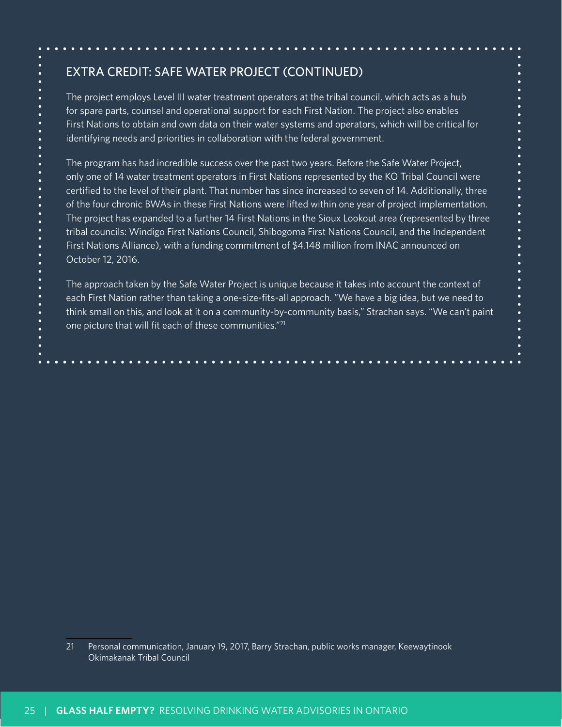## EXTRA CREDIT: SAFE WATER PROJECT (CONTINUED)

The project employs Level III water treatment operators at the tribal council, which acts as a hub for spare parts, counsel and operational support for each First Nation. The project also enables First Nations to obtain and own data on their water systems and operators, which will be critical for identifying needs and priorities in collaboration with the federal government.

The program has had incredible success over the past two years. Before the Safe Water Project, only one of 14 water treatment operators in First Nations represented by the KO Tribal Council were certified to the level of their plant. That number has since increased to seven of 14. Additionally, three of the four chronic BWAs in these First Nations were lifted within one year of project implementation. The project has expanded to a further 14 First Nations in the Sioux Lookout area (represented by three tribal councils: Windigo First Nations Council, Shibogoma First Nations Council, and the Independent First Nations Alliance), with a funding commitment of \$4.148 million from INAC announced on October 12, 2016.

The approach taken by the Safe Water Project is unique because it takes into account the context of each First Nation rather than taking a one-size-fits-all approach. "We have a big idea, but we need to think small on this, and look at it on a community-by-community basis," Strachan says. "We can't paint one picture that will fit each of these communities."21

21 Personal communication, January 19, 2017, Barry Strachan, public works manager, Keewaytinook Okimakanak Tribal Council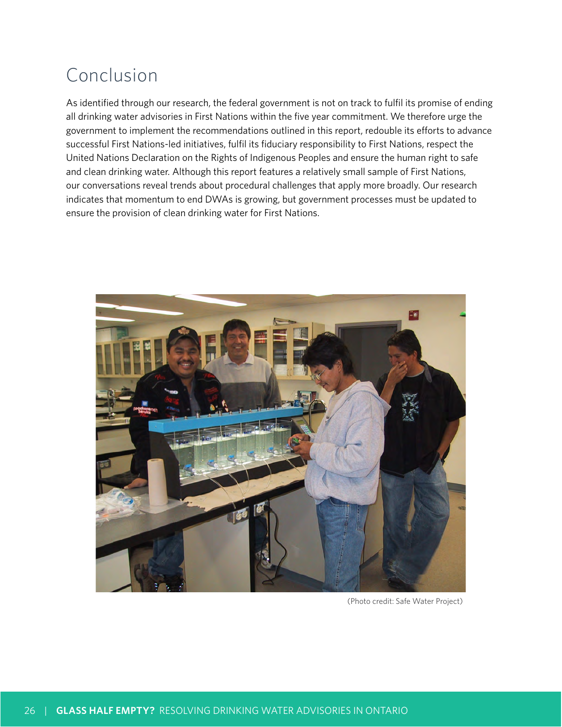# Conclusion

As identified through our research, the federal government is not on track to fulfil its promise of ending all drinking water advisories in First Nations within the five year commitment. We therefore urge the government to implement the recommendations outlined in this report, redouble its efforts to advance successful First Nations-led initiatives, fulfil its fiduciary responsibility to First Nations, respect the United Nations Declaration on the Rights of Indigenous Peoples and ensure the human right to safe and clean drinking water. Although this report features a relatively small sample of First Nations, our conversations reveal trends about procedural challenges that apply more broadly. Our research indicates that momentum to end DWAs is growing, but government processes must be updated to ensure the provision of clean drinking water for First Nations.



(Photo credit: Safe Water Project)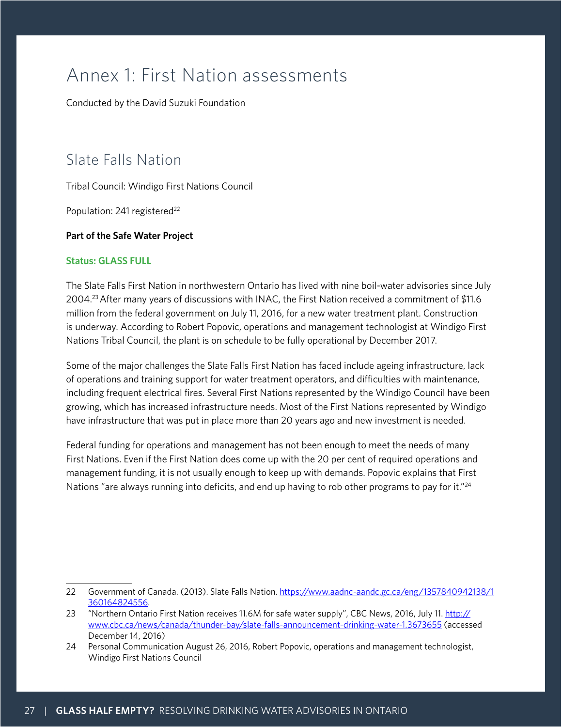# Annex 1: First Nation assessments

Conducted by the David Suzuki Foundation

# Slate Falls Nation

Tribal Council: Windigo First Nations Council

Population: 241 registered<sup>22</sup>

#### **Part of the Safe Water Project**

#### **Status: GLASS FULL**

The Slate Falls First Nation in northwestern Ontario has lived with nine boil-water advisories since July 2004.23 After many years of discussions with INAC, the First Nation received a commitment of \$11.6 million from the federal government on July 11, 2016, for a new water treatment plant. Construction is underway. According to Robert Popovic, operations and management technologist at Windigo First Nations Tribal Council, the plant is on schedule to be fully operational by December 2017.

Some of the major challenges the Slate Falls First Nation has faced include ageing infrastructure, lack of operations and training support for water treatment operators, and difficulties with maintenance, including frequent electrical fires. Several First Nations represented by the Windigo Council have been growing, which has increased infrastructure needs. Most of the First Nations represented by Windigo have infrastructure that was put in place more than 20 years ago and new investment is needed.

Federal funding for operations and management has not been enough to meet the needs of many First Nations. Even if the First Nation does come up with the 20 per cent of required operations and management funding, it is not usually enough to keep up with demands. Popovic explains that First Nations "are always running into deficits, and end up having to rob other programs to pay for it."<sup>24</sup>

<sup>22</sup> Government of Canada. (2013). Slate Falls Nation. [https://www.aadnc-aandc.gc.ca/eng/1357840942138/1](https://www.aadnc-aandc.gc.ca/eng/1357840942138/1360164824556) [360164824556](https://www.aadnc-aandc.gc.ca/eng/1357840942138/1360164824556).

<sup>23 &</sup>quot;Northern Ontario First Nation receives 11.6M for safe water supply", CBC News, 2016, July 11. [http://](http://www.cbc.ca/news/canada/thunder-bay/slate-falls-announcement-drinking-water-1.3673655) [www.cbc.ca/news/canada/thunder-bay/slate-falls-announcement-drinking-water-1.3673655](http://www.cbc.ca/news/canada/thunder-bay/slate-falls-announcement-drinking-water-1.3673655) (accessed December 14, 2016)

<sup>24</sup> Personal Communication August 26, 2016, Robert Popovic, operations and management technologist, Windigo First Nations Council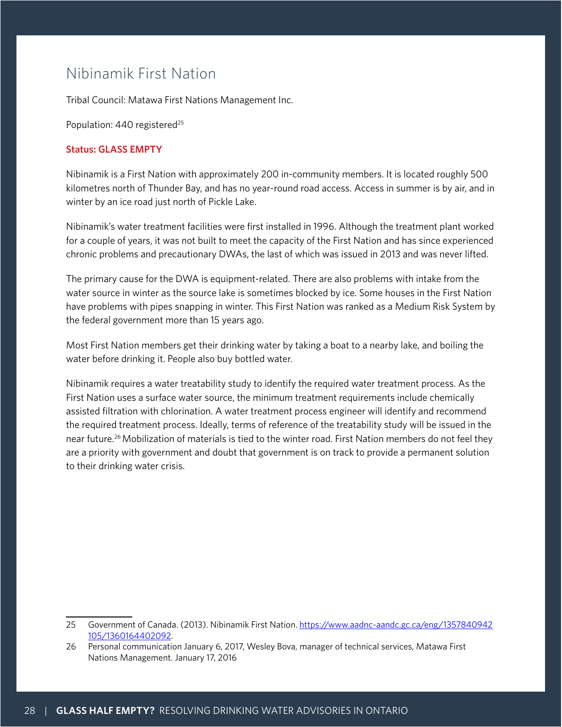## Nibinamik First Nation

Tribal Council: Matawa First Nations Management Inc.

Population: 440 registered<sup>25</sup>

#### **Status: GLASS EMPTY**

Nibinamik is a First Nation with approximately 200 in-community members. It is located roughly 500 kilometres north of Thunder Bay, and has no year-round road access. Access in summer is by air, and in winter by an ice road just north of Pickle Lake.

Nibinamik's water treatment facilities were first installed in 1996. Although the treatment plant worked for a couple of years, it was not built to meet the capacity of the First Nation and has since experienced chronic problems and precautionary DWAs, the last of which was issued in 2013 and was never lifted.

The primary cause for the DWA is equipment-related. There are also problems with intake from the water source in winter as the source lake is sometimes blocked by ice. Some houses in the First Nation have problems with pipes snapping in winter. This First Nation was ranked as a Medium Risk System by the federal government more than 15 years ago.

Most First Nation members get their drinking water by taking a boat to a nearby lake, and boiling the water before drinking it. People also buy bottled water.

Nibinamik requires a water treatability study to identify the required water treatment process. As the First Nation uses a surface water source, the minimum treatment requirements include chemically assisted filtration with chlorination. A water treatment process engineer will identify and recommend the required treatment process. Ideally, terms of reference of the treatability study will be issued in the near future.26 Mobilization of materials is tied to the winter road. First Nation members do not feel they are a priority with government and doubt that government is on track to provide a permanent solution to their drinking water crisis.

<sup>25</sup> Government of Canada. (2013). Nibinamik First Nation. [https://www.aadnc-aandc.gc.ca/eng/1357840942](https://www.aadnc-aandc.gc.ca/eng/1357840942105/1360164402092) [105/1360164402092](https://www.aadnc-aandc.gc.ca/eng/1357840942105/1360164402092).

<sup>26</sup> Personal communication January 6, 2017, Wesley Bova, manager of technical services, Matawa First Nations Management. January 17, 2016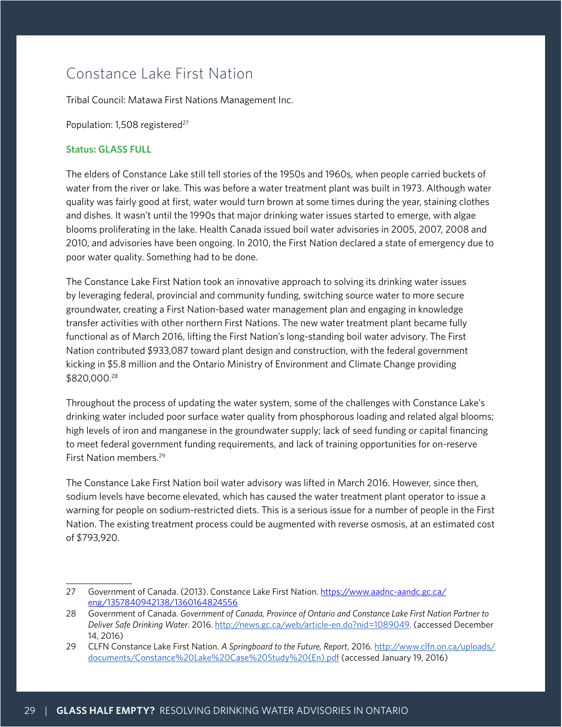# Constance Lake First Nation

Tribal Council: Matawa First Nations Management Inc.

Population: 1,508 registered<sup>27</sup>

#### **Status: GLASS FULL**

The elders of Constance Lake still tell stories of the 1950s and 1960s, when people carried buckets of water from the river or lake. This was before a water treatment plant was built in 1973. Although water quality was fairly good at first, water would turn brown at some times during the year, staining clothes and dishes. It wasn't until the 1990s that major drinking water issues started to emerge, with algae blooms proliferating in the lake. Health Canada issued boil water advisories in 2005, 2007, 2008 and 2010, and advisories have been ongoing. In 2010, the First Nation declared a state of emergency due to poor water quality. Something had to be done.

The Constance Lake First Nation took an innovative approach to solving its drinking water issues by leveraging federal, provincial and community funding, switching source water to more secure groundwater, creating a First Nation-based water management plan and engaging in knowledge transfer activities with other northern First Nations. The new water treatment plant became fully functional as of March 2016, lifting the First Nation's long-standing boil water advisory. The First Nation contributed \$933,087 toward plant design and construction, with the federal government kicking in \$5.8 million and the Ontario Ministry of Environment and Climate Change providing \$820,000.28

Throughout the process of updating the water system, some of the challenges with Constance Lake's drinking water included poor surface water quality from phosphorous loading and related algal blooms; high levels of iron and manganese in the groundwater supply; lack of seed funding or capital financing to meet federal government funding requirements, and lack of training opportunities for on-reserve First Nation members.<sup>29</sup>

The Constance Lake First Nation boil water advisory was lifted in March 2016. However, since then, sodium levels have become elevated, which has caused the water treatment plant operator to issue a warning for people on sodium-restricted diets. This is a serious issue for a number of people in the First Nation. The existing treatment process could be augmented with reverse osmosis, at an estimated cost of \$793,920.

<sup>27</sup> Government of Canada. (2013). Constance Lake First Nation. [https://www.aadnc-aandc.gc.ca/](https://www.aadnc-aandc.gc.ca/eng/1357840942138/1360164824556) [eng/1357840942138/1360164824556](https://www.aadnc-aandc.gc.ca/eng/1357840942138/1360164824556)

<sup>28</sup> Government of Canada. *Government of Canada, Province of Ontario and Constance Lake First Nation Partner to Deliver Safe Drinking Water*. 2016.<http://news.gc.ca/web/article-en.do?nid=1089049>. (accessed December 14, 2016)

<sup>29</sup> CLFN Constance Lake First Nation. *A Springboard to the Future, Report*, 2016. [http://www.clfn.on.ca/uploads/](http://www.clfn.on.ca/uploads/documents/Constance%20Lake%20Case%20Study%20(En).pdf) [documents/Constance%20Lake%20Case%20Study%20\(En\).pdf](http://www.clfn.on.ca/uploads/documents/Constance%20Lake%20Case%20Study%20(En).pdf) (accessed January 19, 2016)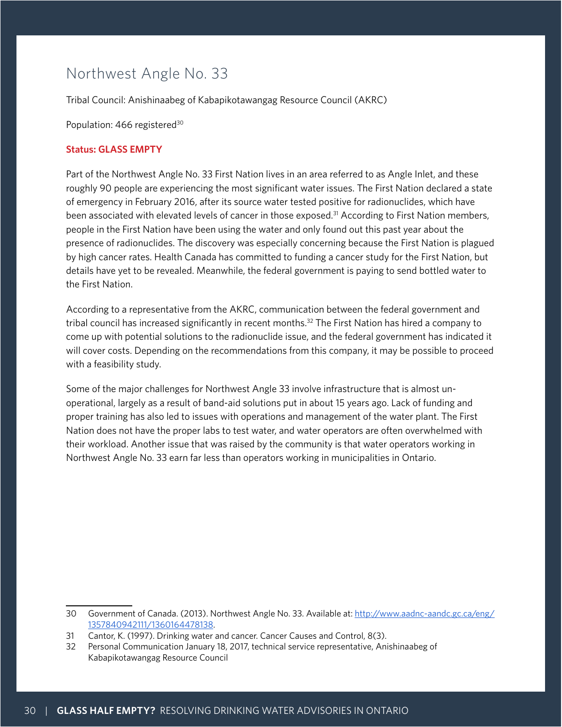# Northwest Angle No. 33

Tribal Council: Anishinaabeg of Kabapikotawangag Resource Council (AKRC)

Population: 466 registered<sup>30</sup>

#### **Status: GLASS EMPTY**

Part of the Northwest Angle No. 33 First Nation lives in an area referred to as Angle Inlet, and these roughly 90 people are experiencing the most significant water issues. The First Nation declared a state of emergency in February 2016, after its source water tested positive for radionuclides, which have been associated with elevated levels of cancer in those exposed.<sup>31</sup> According to First Nation members, people in the First Nation have been using the water and only found out this past year about the presence of radionuclides. The discovery was especially concerning because the First Nation is plagued by high cancer rates. Health Canada has committed to funding a cancer study for the First Nation, but details have yet to be revealed. Meanwhile, the federal government is paying to send bottled water to the First Nation.

According to a representative from the AKRC, communication between the federal government and tribal council has increased significantly in recent months.<sup>32</sup> The First Nation has hired a company to come up with potential solutions to the radionuclide issue, and the federal government has indicated it will cover costs. Depending on the recommendations from this company, it may be possible to proceed with a feasibility study.

Some of the major challenges for Northwest Angle 33 involve infrastructure that is almost unoperational, largely as a result of band-aid solutions put in about 15 years ago. Lack of funding and proper training has also led to issues with operations and management of the water plant. The First Nation does not have the proper labs to test water, and water operators are often overwhelmed with their workload. Another issue that was raised by the community is that water operators working in Northwest Angle No. 33 earn far less than operators working in municipalities in Ontario.

<sup>30</sup> Government of Canada. (2013). Northwest Angle No. 33. Available at: [http://www.aadnc-aandc.gc.ca/eng/](http://www.aadnc-aandc.gc.ca/eng/1357840942111/1360164478138) [1357840942111/1360164478138](http://www.aadnc-aandc.gc.ca/eng/1357840942111/1360164478138).

<sup>31</sup> Cantor, K. (1997). Drinking water and cancer. Cancer Causes and Control, 8(3).

<sup>32</sup> Personal Communication January 18, 2017, technical service representative, Anishinaabeg of Kabapikotawangag Resource Council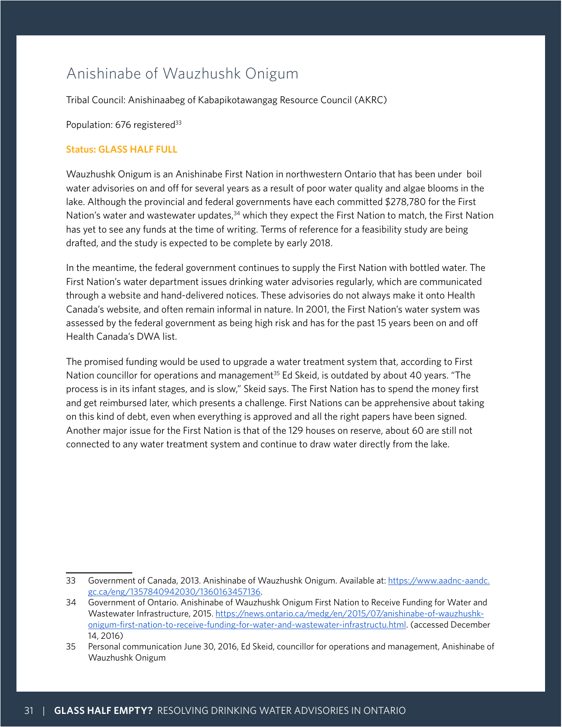# Anishinabe of Wauzhushk Onigum

Tribal Council: Anishinaabeg of Kabapikotawangag Resource Council (AKRC)

Population: 676 registered<sup>33</sup>

#### **Status: GLASS HALF FULL**

Wauzhushk Onigum is an Anishinabe First Nation in northwestern Ontario that has been under boil water advisories on and off for several years as a result of poor water quality and algae blooms in the lake. Although the provincial and federal governments have each committed \$278,780 for the First Nation's water and wastewater updates,<sup>34</sup> which they expect the First Nation to match, the First Nation has yet to see any funds at the time of writing. Terms of reference for a feasibility study are being drafted, and the study is expected to be complete by early 2018.

In the meantime, the federal government continues to supply the First Nation with bottled water. The First Nation's water department issues drinking water advisories regularly, which are communicated through a website and hand-delivered notices. These advisories do not always make it onto Health Canada's website, and often remain informal in nature. In 2001, the First Nation's water system was assessed by the federal government as being high risk and has for the past 15 years been on and off Health Canada's DWA list.

The promised funding would be used to upgrade a water treatment system that, according to First Nation councillor for operations and management<sup>35</sup> Ed Skeid, is outdated by about 40 years. "The process is in its infant stages, and is slow," Skeid says. The First Nation has to spend the money first and get reimbursed later, which presents a challenge. First Nations can be apprehensive about taking on this kind of debt, even when everything is approved and all the right papers have been signed. Another major issue for the First Nation is that of the 129 houses on reserve, about 60 are still not connected to any water treatment system and continue to draw water directly from the lake.

<sup>33</sup> Government of Canada, 2013. Anishinabe of Wauzhushk Onigum. Available at:https://www.aadnc-aandc. gc.ca/eng/1357840942030/1360163457136.

<sup>34</sup> Government of Ontario. Anishinabe of Wauzhushk Onigum First Nation to Receive Funding for Water and Wastewater Infrastructure, 2015. [https://news.ontario.ca/medg/en/2015/07/anishinabe-of-wauzhushk](https://news.ontario.ca/medg/en/2015/07/anishinabe-of-wauzhushk-onigum-first-nation-to-receive-funding-for-water-and-wastewater-infrastructu.html)[onigum-first-nation-to-receive-funding-for-water-and-wastewater-infrastructu.html.](https://news.ontario.ca/medg/en/2015/07/anishinabe-of-wauzhushk-onigum-first-nation-to-receive-funding-for-water-and-wastewater-infrastructu.html) (accessed December 14, 2016)

<sup>35</sup> Personal communication June 30, 2016, Ed Skeid, councillor for operations and management, Anishinabe of Wauzhushk Onigum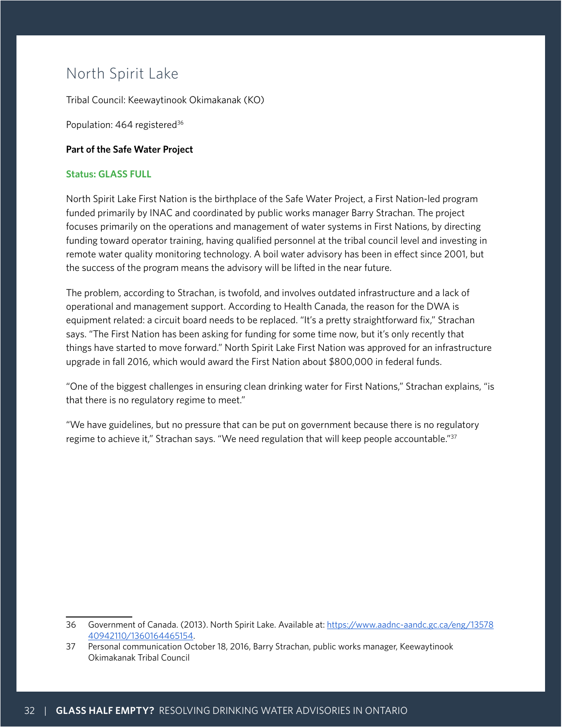# North Spirit Lake

Tribal Council: Keewaytinook Okimakanak (KO)

Population: 464 registered<sup>36</sup>

#### **Part of the Safe Water Project**

#### **Status: GLASS FULL**

North Spirit Lake First Nation is the birthplace of the Safe Water Project, a First Nation-led program funded primarily by INAC and coordinated by public works manager Barry Strachan. The project focuses primarily on the operations and management of water systems in First Nations, by directing funding toward operator training, having qualified personnel at the tribal council level and investing in remote water quality monitoring technology. A boil water advisory has been in effect since 2001, but the success of the program means the advisory will be lifted in the near future.

The problem, according to Strachan, is twofold, and involves outdated infrastructure and a lack of operational and management support. According to Health Canada, the reason for the DWA is equipment related: a circuit board needs to be replaced. "It's a pretty straightforward fix," Strachan says. "The First Nation has been asking for funding for some time now, but it's only recently that things have started to move forward." North Spirit Lake First Nation was approved for an infrastructure upgrade in fall 2016, which would award the First Nation about \$800,000 in federal funds.

"One of the biggest challenges in ensuring clean drinking water for First Nations," Strachan explains, "is that there is no regulatory regime to meet."

"We have guidelines, but no pressure that can be put on government because there is no regulatory regime to achieve it," Strachan says. "We need regulation that will keep people accountable."<sup>37</sup>

<sup>36</sup> Government of Canada. (2013). North Spirit Lake. Available at: https://www.aadnc-aandc.gc.ca/eng/13578 40942110/1360164465154.

<sup>37</sup> Personal communication October 18, 2016, Barry Strachan, public works manager, Keewaytinook Okimakanak Tribal Council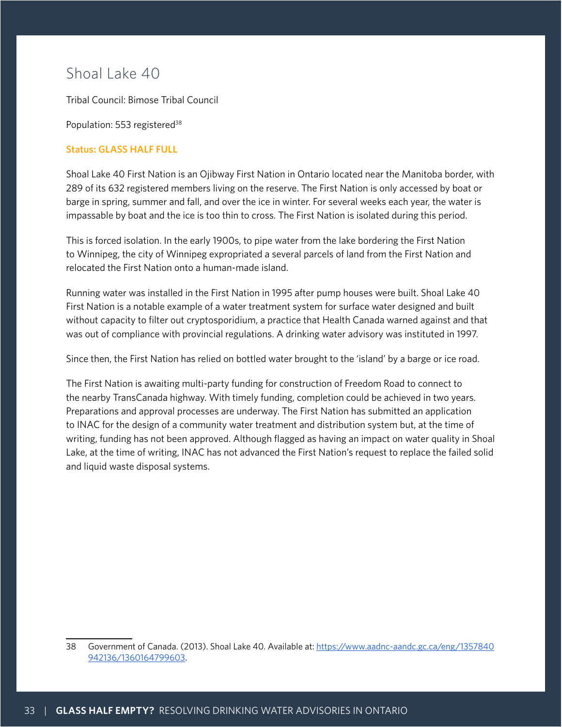## Shoal Lake 40

Tribal Council: Bimose Tribal Council

Population: 553 registered<sup>38</sup>

#### **Status: GLASS HALF FULL**

Shoal Lake 40 First Nation is an Ojibway First Nation in Ontario located near the Manitoba border, with 289 of its 632 registered members living on the reserve. The First Nation is only accessed by boat or barge in spring, summer and fall, and over the ice in winter. For several weeks each year, the water is impassable by boat and the ice is too thin to cross. The First Nation is isolated during this period.

This is forced isolation. In the early 1900s, to pipe water from the lake bordering the First Nation to Winnipeg, the city of Winnipeg expropriated a several parcels of land from the First Nation and relocated the First Nation onto a human-made island.

Running water was installed in the First Nation in 1995 after pump houses were built. Shoal Lake 40 First Nation is a notable example of a water treatment system for surface water designed and built without capacity to filter out cryptosporidium, a practice that Health Canada warned against and that was out of compliance with provincial regulations. A drinking water advisory was instituted in 1997.

Since then, the First Nation has relied on bottled water brought to the 'island' by a barge or ice road.

The First Nation is awaiting multi-party funding for construction of Freedom Road to connect to the nearby TransCanada highway. With timely funding, completion could be achieved in two years. Preparations and approval processes are underway. The First Nation has submitted an application to INAC for the design of a community water treatment and distribution system but, at the time of writing, funding has not been approved. Although flagged as having an impact on water quality in Shoal Lake, at the time of writing, INAC has not advanced the First Nation's request to replace the failed solid and liquid waste disposal systems.

<sup>38</sup> Government of Canada. (2013). Shoal Lake 40. Available at: https://www.aadnc-aandc.gc.ca/eng/1357840 942136/1360164799603.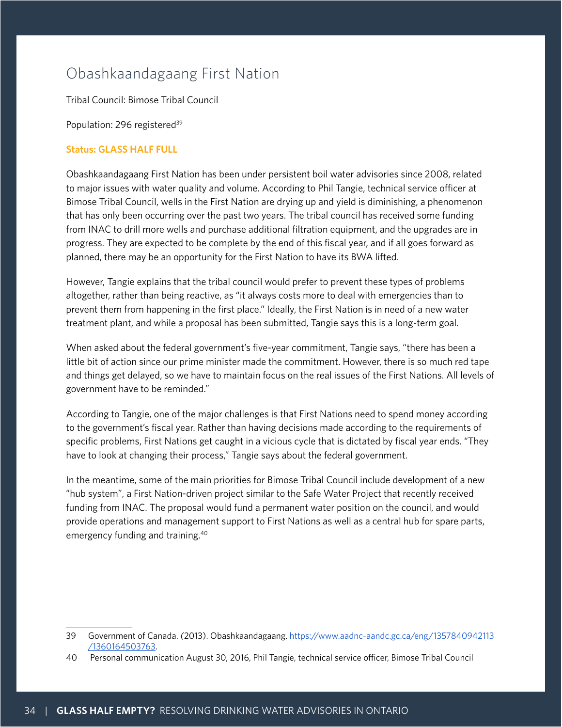# Obashkaandagaang First Nation

Tribal Council: Bimose Tribal Council

Population: 296 registered<sup>39</sup>

#### **Status: GLASS HALF FULL**

Obashkaandagaang First Nation has been under persistent boil water advisories since 2008, related to major issues with water quality and volume. According to Phil Tangie, technical service officer at Bimose Tribal Council, wells in the First Nation are drying up and yield is diminishing, a phenomenon that has only been occurring over the past two years. The tribal council has received some funding from INAC to drill more wells and purchase additional filtration equipment, and the upgrades are in progress. They are expected to be complete by the end of this fiscal year, and if all goes forward as planned, there may be an opportunity for the First Nation to have its BWA lifted.

However, Tangie explains that the tribal council would prefer to prevent these types of problems altogether, rather than being reactive, as "it always costs more to deal with emergencies than to prevent them from happening in the first place." Ideally, the First Nation is in need of a new water treatment plant, and while a proposal has been submitted, Tangie says this is a long-term goal.

When asked about the federal government's five-year commitment, Tangie says, "there has been a little bit of action since our prime minister made the commitment. However, there is so much red tape and things get delayed, so we have to maintain focus on the real issues of the First Nations. All levels of government have to be reminded."

According to Tangie, one of the major challenges is that First Nations need to spend money according to the government's fiscal year. Rather than having decisions made according to the requirements of specific problems, First Nations get caught in a vicious cycle that is dictated by fiscal year ends. "They have to look at changing their process," Tangie says about the federal government.

In the meantime, some of the main priorities for Bimose Tribal Council include development of a new "hub system", a First Nation-driven project similar to the Safe Water Project that recently received funding from INAC. The proposal would fund a permanent water position on the council, and would provide operations and management support to First Nations as well as a central hub for spare parts, emergency funding and training.40

<sup>39</sup> Government of Canada. *(*2013). Obashkaandagaang[. https://www.aadnc-aandc.gc.ca/eng/1357840942113](https://www.aadnc-aandc.gc.ca/eng/1357840942113/1360164503763) [/1360164503763](https://www.aadnc-aandc.gc.ca/eng/1357840942113/1360164503763).

<sup>40</sup> Personal communication August 30, 2016, Phil Tangie, technical service officer, Bimose Tribal Council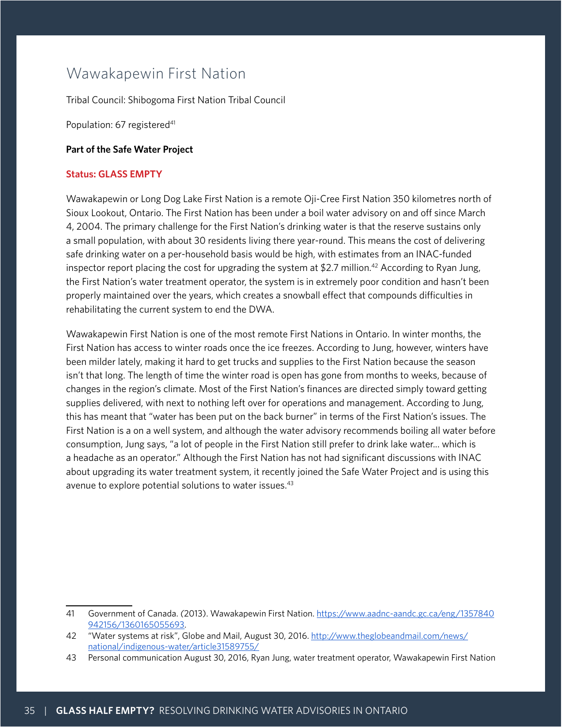## Wawakapewin First Nation

Tribal Council: Shibogoma First Nation Tribal Council

Population: 67 registered<sup>41</sup>

#### **Part of the Safe Water Project**

#### **Status: GLASS EMPTY**

Wawakapewin or Long Dog Lake First Nation is a remote Oji-Cree First Nation 350 kilometres north of Sioux Lookout, Ontario. The First Nation has been under a boil water advisory on and off since March 4, 2004. The primary challenge for the First Nation's drinking water is that the reserve sustains only a small population, with about 30 residents living there year-round. This means the cost of delivering safe drinking water on a per-household basis would be high, with estimates from an INAC-funded inspector report placing the cost for upgrading the system at \$2.7 million.<sup>42</sup> According to Ryan Jung, the First Nation's water treatment operator, the system is in extremely poor condition and hasn't been properly maintained over the years, which creates a snowball effect that compounds difficulties in rehabilitating the current system to end the DWA.

Wawakapewin First Nation is one of the most remote First Nations in Ontario. In winter months, the First Nation has access to winter roads once the ice freezes. According to Jung, however, winters have been milder lately, making it hard to get trucks and supplies to the First Nation because the season isn't that long. The length of time the winter road is open has gone from months to weeks, because of changes in the region's climate. Most of the First Nation's finances are directed simply toward getting supplies delivered, with next to nothing left over for operations and management. According to Jung, this has meant that "water has been put on the back burner" in terms of the First Nation's issues. The First Nation is a on a well system, and although the water advisory recommends boiling all water before consumption, Jung says, "a lot of people in the First Nation still prefer to drink lake water... which is a headache as an operator." Although the First Nation has not had significant discussions with INAC about upgrading its water treatment system, it recently joined the Safe Water Project and is using this avenue to explore potential solutions to water issues.<sup>43</sup>

<sup>41</sup> Government of Canada. *(*2013). Wawakapewin First Nation.https://www.aadnc-aandc.gc.ca/eng/1357840 942156/1360165055693.

<sup>42</sup> "Water systems at risk", Globe and Mail, August 30, 2016. [http://www.theglobeandmail.com/news/](http://www.theglobeandmail.com/news/national/indigenous-water/article31589755/) [national/indigenous-water/article31589755/](http://www.theglobeandmail.com/news/national/indigenous-water/article31589755/)

<sup>43</sup> Personal communication August 30, 2016, Ryan Jung, water treatment operator, Wawakapewin First Nation